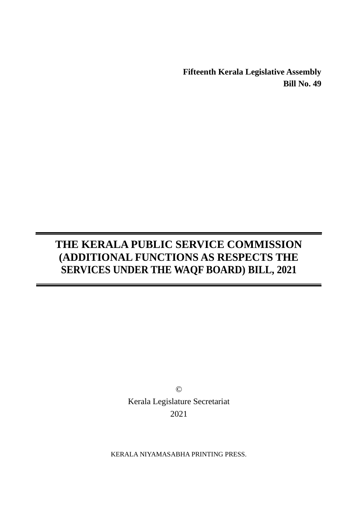**Fifteenth Kerala Legislative Assembly Bill No. 49**

# **THE KERALA PUBLIC SERVICE COMMISSION (ADDITIONAL FUNCTIONS AS RESPECTS THE SERVICES UNDER THE WAQF BOARD) BILL, 2021**

© Kerala Legislature Secretariat 2021

KERALA NIYAMASABHA PRINTING PRESS.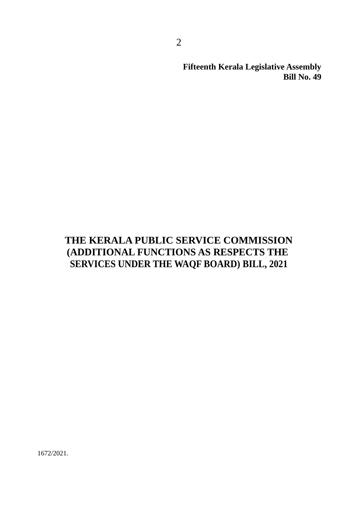**Fifteenth Kerala Legislative Assembly Bill No. 49**

## **THE KERALA PUBLIC SERVICE COMMISSION (ADDITIONAL FUNCTIONS AS RESPECTS THE SERVICES UNDER THE WAQF BOARD) BILL, 2021**

1672/2021.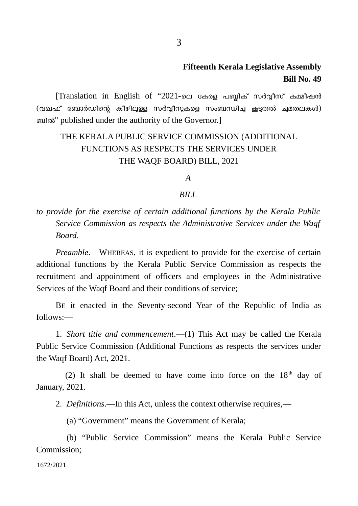### **Fifteenth Kerala Legislative Assembly Bill No. 49**

[Translation in English of "2021-ലെ കേരള പബ്ലിക് സർവ്വീസ് കമ്മീഷൻ (വഖഫ് ബോർഡിന്റെ കീഴിലുള്ള സർവ്വീസുകളെ സംബന്ധിച്ച കൂടുതൽ ചുമതലകൾ) ബിൽ" published under the authority of the Governor.]

### THE KERALA PUBLIC SERVICE COMMISSION (ADDITIONAL FUNCTIONS AS RESPECTS THE SERVICES UNDER THE WAQF BOARD) BILL, 2021

#### *A*

#### *BILL*

*to provide for the exercise of certain additional functions by the Kerala Public Service Commission as respects the Administrative Services under the Waqf Board.*

*Preamble*.―WHEREAS, it is expedient to provide for the exercise of certain additional functions by the Kerala Public Service Commission as respects the recruitment and appointment of officers and employees in the Administrative Services of the Waqf Board and their conditions of service;

BE it enacted in the Seventy-second Year of the Republic of India as follows:―

1. *Short title and commencement*.―(1) This Act may be called the Kerala Public Service Commission (Additional Functions as respects the services under the Waqf Board) Act, 2021.

(2) It shall be deemed to have come into force on the  $18<sup>th</sup>$  day of January, 2021.

2. *Definitions*.―In this Act, unless the context otherwise requires,―

(a) "Government" means the Government of Kerala;

(b) "Public Service Commission" means the Kerala Public Service Commission;

1672/2021.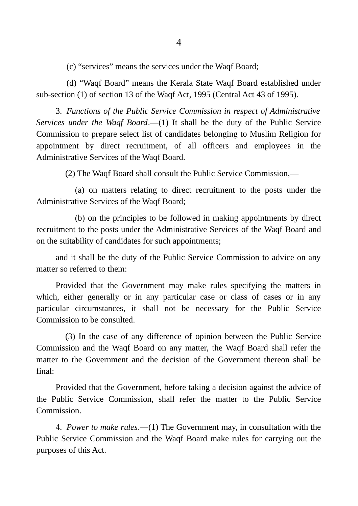(c) "services" means the services under the Waqf Board;

(d) "Waqf Board" means the Kerala State Waqf Board established under sub-section (1) of section 13 of the Waqf Act, 1995 (Central Act 43 of 1995).

3. *Functions of the Public Service Commission in respect of Administrative Services under the Waqf Board*.―(1) It shall be the duty of the Public Service Commission to prepare select list of candidates belonging to Muslim Religion for appointment by direct recruitment, of all officers and employees in the Administrative Services of the Waqf Board.

(2) The Waqf Board shall consult the Public Service Commission,―

(a) on matters relating to direct recruitment to the posts under the Administrative Services of the Waqf Board;

(b) on the principles to be followed in making appointments by direct recruitment to the posts under the Administrative Services of the Waqf Board and on the suitability of candidates for such appointments;

and it shall be the duty of the Public Service Commission to advice on any matter so referred to them:

Provided that the Government may make rules specifying the matters in which, either generally or in any particular case or class of cases or in any particular circumstances, it shall not be necessary for the Public Service Commission to be consulted.

(3) In the case of any difference of opinion between the Public Service Commission and the Waqf Board on any matter, the Waqf Board shall refer the matter to the Government and the decision of the Government thereon shall be final:

Provided that the Government, before taking a decision against the advice of the Public Service Commission, shall refer the matter to the Public Service Commission.

4. *Power to make rules*.―(1) The Government may, in consultation with the Public Service Commission and the Waqf Board make rules for carrying out the purposes of this Act.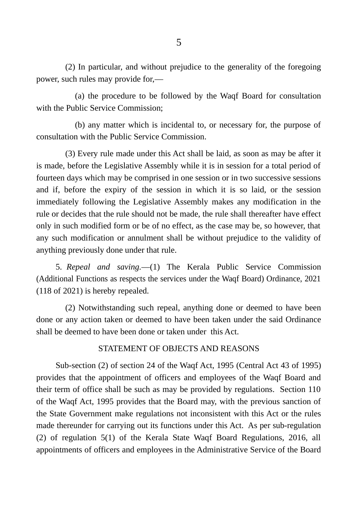(2) In particular, and without prejudice to the generality of the foregoing power, such rules may provide for,―

(a) the procedure to be followed by the Waqf Board for consultation with the Public Service Commission;

(b) any matter which is incidental to, or necessary for, the purpose of consultation with the Public Service Commission.

(3) Every rule made under this Act shall be laid, as soon as may be after it is made, before the Legislative Assembly while it is in session for a total period of fourteen days which may be comprised in one session or in two successive sessions and if, before the expiry of the session in which it is so laid, or the session immediately following the Legislative Assembly makes any modification in the rule or decides that the rule should not be made, the rule shall thereafter have effect only in such modified form or be of no effect, as the case may be, so however, that any such modification or annulment shall be without prejudice to the validity of anything previously done under that rule.

5. *Repeal and saving.―*(1) The Kerala Public Service Commission (Additional Functions as respects the services under the Waqf Board) Ordinance, 2021 (118 of 2021) is hereby repealed.

(2) Notwithstanding such repeal, anything done or deemed to have been done or any action taken or deemed to have been taken under the said Ordinance shall be deemed to have been done or taken under this Act.

#### STATEMENT OF OBJECTS AND REASONS

Sub-section (2) of section 24 of the Waqf Act, 1995 (Central Act 43 of 1995) provides that the appointment of officers and employees of the Waqf Board and their term of office shall be such as may be provided by regulations. Section 110 of the Waqf Act, 1995 provides that the Board may, with the previous sanction of the State Government make regulations not inconsistent with this Act or the rules made thereunder for carrying out its functions under this Act. As per sub-regulation (2) of regulation 5(1) of the Kerala State Waqf Board Regulations, 2016, all appointments of officers and employees in the Administrative Service of the Board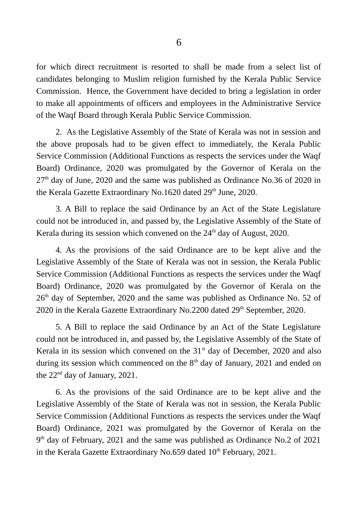for which direct recruitment is resorted to shall be made from a select list of candidates belonging to Muslim religion furnished by the Kerala Public Service Commission. Hence, the Government have decided to bring a legislation in order to make all appointments of officers and employees in the Administrative Service of the Waqf Board through Kerala Public Service Commission.

2. As the Legislative Assembly of the State of Kerala was not in session and the above proposals had to be given effect to immediately, the Kerala Public Service Commission (Additional Functions as respects the services under the Waqf Board) Ordinance, 2020 was promulgated by the Governor of Kerala on the  $27<sup>th</sup>$  day of June, 2020 and the same was published as Ordinance No.36 of 2020 in the Kerala Gazette Extraordinary No.1620 dated 29<sup>th</sup> June, 2020.

3. A Bill to replace the said Ordinance by an Act of the State Legislature could not be introduced in, and passed by, the Legislative Assembly of the State of Kerala during its session which convened on the  $24<sup>th</sup>$  day of August, 2020.

4. As the provisions of the said Ordinance are to be kept alive and the Legislative Assembly of the State of Kerala was not in session, the Kerala Public Service Commission (Additional Functions as respects the services under the Waqf Board) Ordinance, 2020 was promulgated by the Governor of Kerala on the  $26<sup>th</sup>$  day of September, 2020 and the same was published as Ordinance No. 52 of 2020 in the Kerala Gazette Extraordinary No.2200 dated  $29<sup>th</sup>$  September, 2020.

5. A Bill to replace the said Ordinance by an Act of the State Legislature could not be introduced in, and passed by, the Legislative Assembly of the State of Kerala in its session which convened on the  $31<sup>st</sup>$  day of December, 2020 and also during its session which commenced on the  $8<sup>th</sup>$  day of January, 2021 and ended on the 22<sup>nd</sup> day of January, 2021.

6. As the provisions of the said Ordinance are to be kept alive and the Legislative Assembly of the State of Kerala was not in session, the Kerala Public Service Commission (Additional Functions as respects the services under the Waqf Board) Ordinance, 2021 was promulgated by the Governor of Kerala on the 9<sup>th</sup> day of February, 2021 and the same was published as Ordinance No.2 of 2021 in the Kerala Gazette Extraordinary No.659 dated  $10<sup>th</sup>$  February, 2021.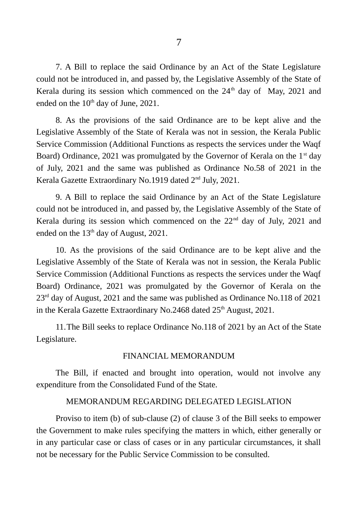7. A Bill to replace the said Ordinance by an Act of the State Legislature could not be introduced in, and passed by, the Legislative Assembly of the State of Kerala during its session which commenced on the  $24<sup>th</sup>$  day of May, 2021 and ended on the  $10<sup>th</sup>$  day of June, 2021.

8. As the provisions of the said Ordinance are to be kept alive and the Legislative Assembly of the State of Kerala was not in session, the Kerala Public Service Commission (Additional Functions as respects the services under the Waqf Board) Ordinance, 2021 was promulgated by the Governor of Kerala on the  $1<sup>st</sup>$  day of July, 2021 and the same was published as Ordinance No.58 of 2021 in the Kerala Gazette Extraordinary No.1919 dated 2nd July, 2021.

9. A Bill to replace the said Ordinance by an Act of the State Legislature could not be introduced in, and passed by, the Legislative Assembly of the State of Kerala during its session which commenced on the  $22<sup>nd</sup>$  day of July, 2021 and ended on the  $13<sup>th</sup>$  day of August, 2021.

10. As the provisions of the said Ordinance are to be kept alive and the Legislative Assembly of the State of Kerala was not in session, the Kerala Public Service Commission (Additional Functions as respects the services under the Waqf Board) Ordinance, 2021 was promulgated by the Governor of Kerala on the  $23<sup>rd</sup>$  day of August, 2021 and the same was published as Ordinance No.118 of 2021 in the Kerala Gazette Extraordinary No.2468 dated 25<sup>th</sup> August, 2021.

11.The Bill seeks to replace Ordinance No.118 of 2021 by an Act of the State Legislature.

#### FINANCIAL MEMORANDUM

The Bill, if enacted and brought into operation, would not involve any expenditure from the Consolidated Fund of the State.

#### MEMORANDUM REGARDING DELEGATED LEGISLATION

Proviso to item (b) of sub-clause (2) of clause 3 of the Bill seeks to empower the Government to make rules specifying the matters in which, either generally or in any particular case or class of cases or in any particular circumstances, it shall not be necessary for the Public Service Commission to be consulted.